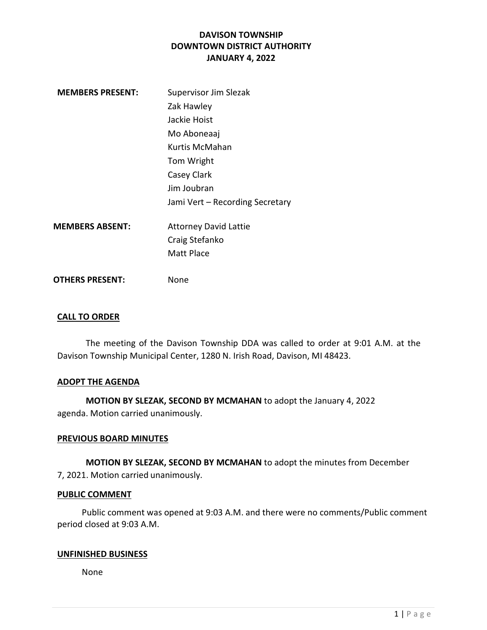| <b>MEMBERS PRESENT:</b> | Supervisor Jim Slezak           |
|-------------------------|---------------------------------|
|                         | Zak Hawley                      |
|                         | Jackie Hoist                    |
|                         | Mo Aboneaaj                     |
|                         | Kurtis McMahan                  |
|                         | Tom Wright                      |
|                         | Casey Clark                     |
|                         | Jim Joubran                     |
|                         | Jami Vert - Recording Secretary |
| <b>MEMBERS ABSENT:</b>  | <b>Attorney David Lattie</b>    |
|                         | Craig Stefanko                  |
|                         | <b>Matt Place</b>               |
| <b>OTHERS PRESENT:</b>  | None                            |

### CALL TO ORDER

The meeting of the Davison Township DDA was called to order at 9:01 A.M. at the Davison Township Municipal Center, 1280 N. Irish Road, Davison, MI 48423.

#### ADOPT THE AGENDA

MOTION BY SLEZAK, SECOND BY MCMAHAN to adopt the January 4, 2022 agenda. Motion carried unanimously.

#### PREVIOUS BOARD MINUTES

MOTION BY SLEZAK, SECOND BY MCMAHAN to adopt the minutes from December 7, 2021. Motion carried unanimously.

#### PUBLIC COMMENT

 Public comment was opened at 9:03 A.M. and there were no comments/Public comment period closed at 9:03 A.M.

### UNFINISHED BUSINESS

None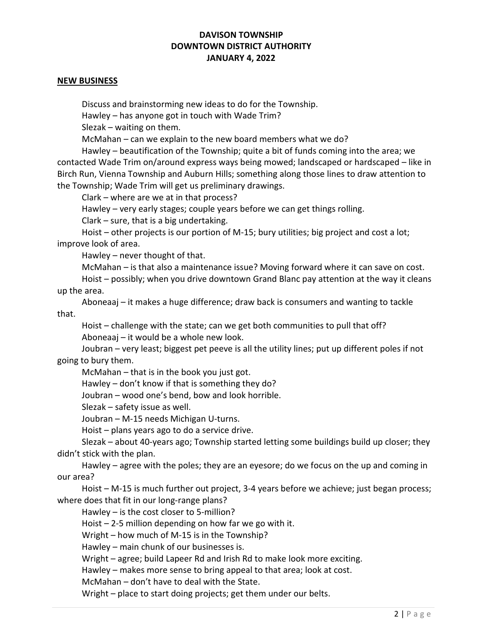#### NEW BUSINESS

Discuss and brainstorming new ideas to do for the Township.

Hawley – has anyone got in touch with Wade Trim?

Slezak – waiting on them.

McMahan – can we explain to the new board members what we do?

 Hawley – beautification of the Township; quite a bit of funds coming into the area; we contacted Wade Trim on/around express ways being mowed; landscaped or hardscaped – like in Birch Run, Vienna Township and Auburn Hills; something along those lines to draw attention to the Township; Wade Trim will get us preliminary drawings.

Clark – where are we at in that process?

Hawley – very early stages; couple years before we can get things rolling.

Clark – sure, that is a big undertaking.

 Hoist – other projects is our portion of M-15; bury utilities; big project and cost a lot; improve look of area.

Hawley – never thought of that.

McMahan – is that also a maintenance issue? Moving forward where it can save on cost.

 Hoist – possibly; when you drive downtown Grand Blanc pay attention at the way it cleans up the area.

 Aboneaaj – it makes a huge difference; draw back is consumers and wanting to tackle that.

 Hoist – challenge with the state; can we get both communities to pull that off? Aboneaaj – it would be a whole new look.

 Joubran – very least; biggest pet peeve is all the utility lines; put up different poles if not going to bury them.

McMahan – that is in the book you just got.

Hawley – don't know if that is something they do?

Joubran – wood one's bend, bow and look horrible.

Slezak – safety issue as well.

Joubran – M-15 needs Michigan U-turns.

Hoist – plans years ago to do a service drive.

 Slezak – about 40-years ago; Township started letting some buildings build up closer; they didn't stick with the plan.

 Hawley – agree with the poles; they are an eyesore; do we focus on the up and coming in our area?

 Hoist – M-15 is much further out project, 3-4 years before we achieve; just began process; where does that fit in our long-range plans?

Hawley – is the cost closer to 5-million?

Hoist  $-2$ -5 million depending on how far we go with it.

Wright – how much of M-15 is in the Township?

Hawley – main chunk of our businesses is.

Wright – agree; build Lapeer Rd and Irish Rd to make look more exciting.

Hawley – makes more sense to bring appeal to that area; look at cost.

McMahan – don't have to deal with the State.

Wright – place to start doing projects; get them under our belts.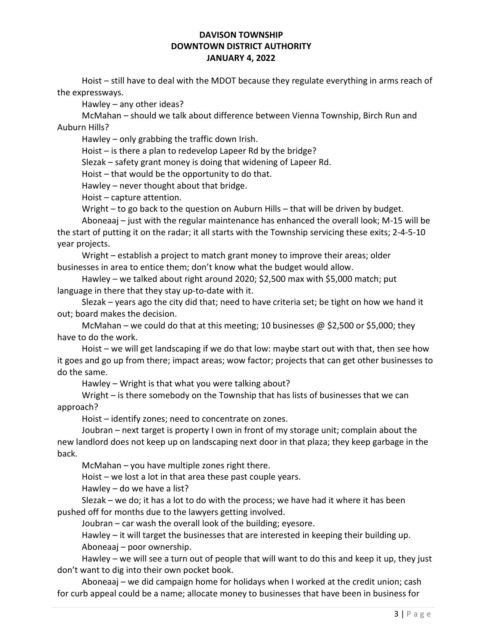Hoist – still have to deal with the MDOT because they regulate everything in arms reach of the expressways.

Hawley – any other ideas?

 McMahan – should we talk about difference between Vienna Township, Birch Run and Auburn Hills?

Hawley – only grabbing the traffic down Irish.

Hoist – is there a plan to redevelop Lapeer Rd by the bridge?

Slezak – safety grant money is doing that widening of Lapeer Rd.

Hoist – that would be the opportunity to do that.

Hawley – never thought about that bridge.

Hoist – capture attention.

Wright – to go back to the question on Auburn Hills – that will be driven by budget.

 Aboneaaj – just with the regular maintenance has enhanced the overall look; M-15 will be the start of putting it on the radar; it all starts with the Township servicing these exits; 2-4-5-10 year projects.

 Wright – establish a project to match grant money to improve their areas; older businesses in area to entice them; don't know what the budget would allow.

 Hawley – we talked about right around 2020; \$2,500 max with \$5,000 match; put language in there that they stay up-to-date with it.

 Slezak – years ago the city did that; need to have criteria set; be tight on how we hand it out; board makes the decision.

McMahan – we could do that at this meeting; 10 businesses  $\omega$  \$2,500 or \$5,000; they have to do the work.

 Hoist – we will get landscaping if we do that low: maybe start out with that, then see how it goes and go up from there; impact areas; wow factor; projects that can get other businesses to do the same.

Hawley – Wright is that what you were talking about?

 Wright – is there somebody on the Township that has lists of businesses that we can approach?

Hoist – identify zones; need to concentrate on zones.

 Joubran – next target is property I own in front of my storage unit; complain about the new landlord does not keep up on landscaping next door in that plaza; they keep garbage in the back.

McMahan – you have multiple zones right there.

Hoist – we lost a lot in that area these past couple years.

Hawley – do we have a list?

 Slezak – we do; it has a lot to do with the process; we have had it where it has been pushed off for months due to the lawyers getting involved.

Joubran – car wash the overall look of the building; eyesore.

 Hawley – it will target the businesses that are interested in keeping their building up. Aboneaaj – poor ownership.

 Hawley – we will see a turn out of people that will want to do this and keep it up, they just don't want to dig into their own pocket book.

 Aboneaaj – we did campaign home for holidays when I worked at the credit union; cash for curb appeal could be a name; allocate money to businesses that have been in business for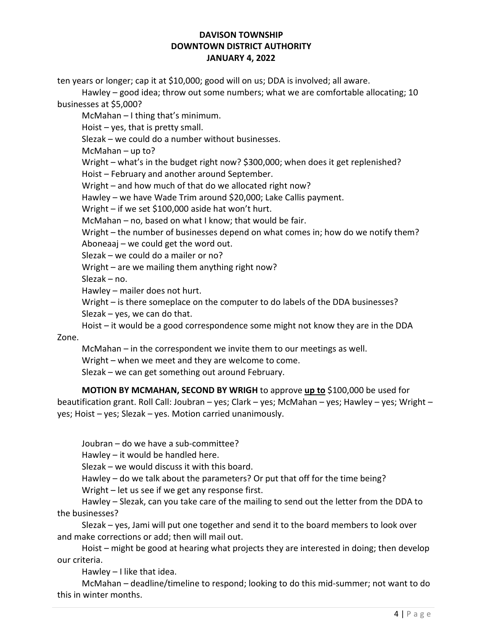ten years or longer; cap it at \$10,000; good will on us; DDA is involved; all aware.

 Hawley – good idea; throw out some numbers; what we are comfortable allocating; 10 businesses at \$5,000?

McMahan – I thing that's minimum.

Hoist – yes, that is pretty small.

Slezak – we could do a number without businesses.

McMahan – up to?

 Wright – what's in the budget right now? \$300,000; when does it get replenished? Hoist – February and another around September.

Wright – and how much of that do we allocated right now?

Hawley – we have Wade Trim around \$20,000; Lake Callis payment.

Wright – if we set \$100,000 aside hat won't hurt.

McMahan – no, based on what I know; that would be fair.

 Wright – the number of businesses depend on what comes in; how do we notify them? Aboneaaj – we could get the word out.

Slezak – we could do a mailer or no?

Wright – are we mailing them anything right now?

Slezak – no.

Hawley – mailer does not hurt.

 Wright – is there someplace on the computer to do labels of the DDA businesses? Slezak – yes, we can do that.

Hoist – it would be a good correspondence some might not know they are in the DDA

Zone.

McMahan – in the correspondent we invite them to our meetings as well.

Wright – when we meet and they are welcome to come.

Slezak – we can get something out around February.

MOTION BY MCMAHAN, SECOND BY WRIGH to approve up to \$100,000 be used for beautification grant. Roll Call: Joubran – yes; Clark – yes; McMahan – yes; Hawley – yes; Wright – yes; Hoist – yes; Slezak – yes. Motion carried unanimously.

Joubran – do we have a sub-committee?

Hawley – it would be handled here.

Slezak – we would discuss it with this board.

Hawley – do we talk about the parameters? Or put that off for the time being?

Wright – let us see if we get any response first.

 Hawley – Slezak, can you take care of the mailing to send out the letter from the DDA to the businesses?

 Slezak – yes, Jami will put one together and send it to the board members to look over and make corrections or add; then will mail out.

 Hoist – might be good at hearing what projects they are interested in doing; then develop our criteria.

Hawley – I like that idea.

 McMahan – deadline/timeline to respond; looking to do this mid-summer; not want to do this in winter months.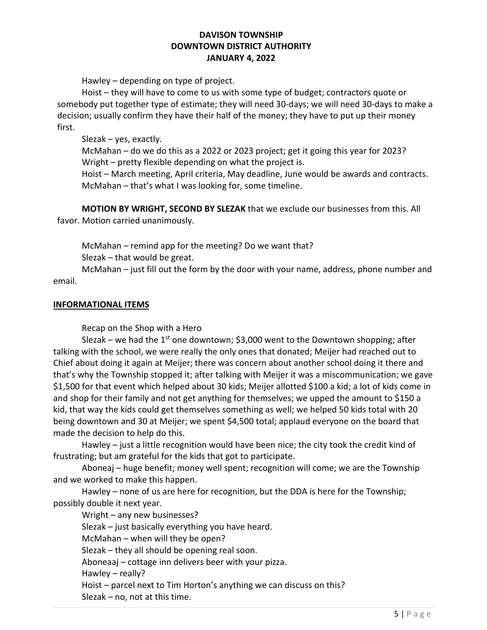Hawley – depending on type of project.

 Hoist – they will have to come to us with some type of budget; contractors quote or somebody put together type of estimate; they will need 30-days; we will need 30-days to make a decision; usually confirm they have their half of the money; they have to put up their money first.

Slezak – yes, exactly.

 McMahan – do we do this as a 2022 or 2023 project; get it going this year for 2023? Wright – pretty flexible depending on what the project is.

 Hoist – March meeting, April criteria, May deadline, June would be awards and contracts. McMahan – that's what I was looking for, some timeline.

 MOTION BY WRIGHT, SECOND BY SLEZAK that we exclude our businesses from this. All favor. Motion carried unanimously.

McMahan – remind app for the meeting? Do we want that?

Slezak – that would be great.

 McMahan – just fill out the form by the door with your name, address, phone number and email.

# INFORMATIONAL ITEMS

Recap on the Shop with a Hero

Slezak – we had the 1<sup>st</sup> one downtown; \$3,000 went to the Downtown shopping; after talking with the school, we were really the only ones that donated; Meijer had reached out to Chief about doing it again at Meijer; there was concern about another school doing it there and that's why the Township stopped it; after talking with Meijer it was a miscommunication; we gave \$1,500 for that event which helped about 30 kids; Meijer allotted \$100 a kid; a lot of kids come in and shop for their family and not get anything for themselves; we upped the amount to \$150 a kid, that way the kids could get themselves something as well; we helped 50 kids total with 20 being downtown and 30 at Meijer; we spent \$4,500 total; applaud everyone on the board that made the decision to help do this.

 Hawley – just a little recognition would have been nice; the city took the credit kind of frustrating; but am grateful for the kids that got to participate.

 Aboneaj – huge benefit; money well spent; recognition will come; we are the Township and we worked to make this happen.

 Hawley – none of us are here for recognition, but the DDA is here for the Township; possibly double it next year.

Wright – any new businesses?

Slezak – just basically everything you have heard.

McMahan – when will they be open?

Slezak – they all should be opening real soon.

Aboneaaj – cottage inn delivers beer with your pizza.

Hawley – really?

 Hoist – parcel next to Tim Horton's anything we can discuss on this? Slezak – no, not at this time.

 $5$  | P a g e